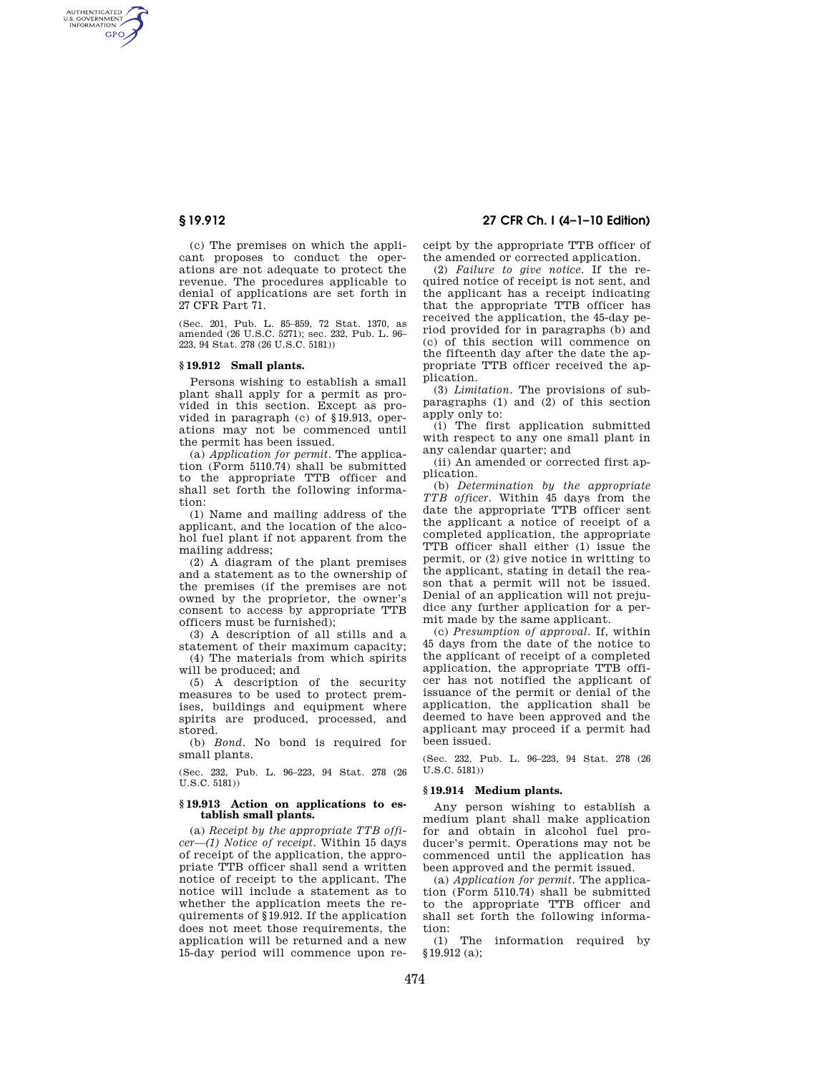AUTHENTICATED<br>U.S. GOVERNMENT<br>INFORMATION **GPO** 

> (c) The premises on which the applicant proposes to conduct the operations are not adequate to protect the revenue. The procedures applicable to denial of applications are set forth in 27 CFR Part 71.

(Sec. 201, Pub. L. 85–859, 72 Stat. 1370, as amended (26 U.S.C. 5271); sec. 232, Pub. L. 96– 223, 94 Stat. 278 (26 U.S.C. 5181))

### **§ 19.912 Small plants.**

Persons wishing to establish a small plant shall apply for a permit as provided in this section. Except as provided in paragraph (c) of §19.913, operations may not be commenced until the permit has been issued.

(a) *Application for permit.* The application (Form 5110.74) shall be submitted to the appropriate TTB officer and shall set forth the following information:

(1) Name and mailing address of the applicant, and the location of the alcohol fuel plant if not apparent from the mailing address;

(2) A diagram of the plant premises and a statement as to the ownership of the premises (if the premises are not owned by the proprietor, the owner's consent to access by appropriate TTB officers must be furnished);

(3) A description of all stills and a statement of their maximum capacity; (4) The materials from which spirits

will be produced; and

(5) A description of the security measures to be used to protect premises, buildings and equipment where spirits are produced, processed, and stored.

(b) *Bond.* No bond is required for small plants.

(Sec. 232, Pub. L. 96–223, 94 Stat. 278 (26 U.S.C. 5181))

### **§ 19.913 Action on applications to establish small plants.**

(a) *Receipt by the appropriate TTB officer—(1) Notice of receipt.* Within 15 days of receipt of the application, the appropriate TTB officer shall send a written notice of receipt to the applicant. The notice will include a statement as to whether the application meets the requirements of §19.912. If the application does not meet those requirements, the application will be returned and a new 15-day period will commence upon re-

# **§ 19.912 27 CFR Ch. I (4–1–10 Edition)**

ceipt by the appropriate TTB officer of the amended or corrected application.

(2) *Failure to give notice.* If the required notice of receipt is not sent, and the applicant has a receipt indicating that the appropriate TTB officer has received the application, the 45-day period provided for in paragraphs (b) and (c) of this section will commence on the fifteenth day after the date the appropriate TTB officer received the application.

(3) *Limitation.* The provisions of subparagraphs  $(1)$  and  $(2)$  of this section apply only to:

(i) The first application submitted with respect to any one small plant in any calendar quarter; and

(ii) An amended or corrected first application.

(b) *Determination by the appropriate TTB officer.* Within 45 days from the date the appropriate TTB officer sent the applicant a notice of receipt of a completed application, the appropriate TTB officer shall either (1) issue the permit, or (2) give notice in writting to the applicant, stating in detail the reason that a permit will not be issued. Denial of an application will not prejudice any further application for a permit made by the same applicant.

(c) *Presumption of approval.* If, within 45 days from the date of the notice to the applicant of receipt of a completed application, the appropriate TTB officer has not notified the applicant of issuance of the permit or denial of the application, the application shall be deemed to have been approved and the applicant may proceed if a permit had been issued.

(Sec. 232, Pub. L. 96–223, 94 Stat. 278 (26 U.S.C. 5181))

### **§ 19.914 Medium plants.**

Any person wishing to establish a medium plant shall make application for and obtain in alcohol fuel producer's permit. Operations may not be commenced until the application has been approved and the permit issued.

(a) *Application for permit.* The application (Form 5110.74) shall be submitted to the appropriate TTB officer and shall set forth the following information:

(1) The information required by §19.912 (a);